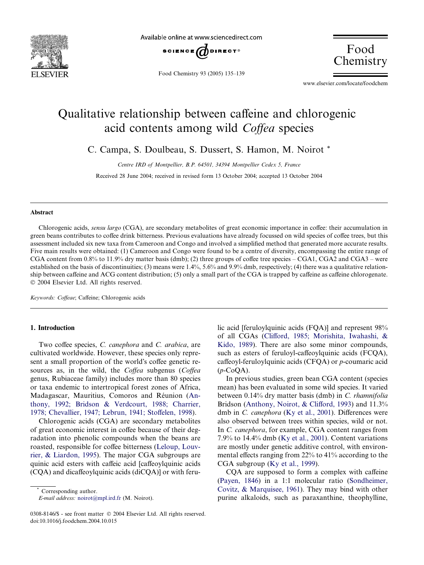

Available online at www.sciencedirect.com



Food Chemistry 93 (2005) 135–139

Food Chemistry

www.elsevier.com/locate/foodchem

# Qualitative relationship between caffeine and chlorogenic acid contents among wild Coffea species

C. Campa, S. Doulbeau, S. Dussert, S. Hamon, M. Noirot \*

Centre IRD of Montpellier, B.P. 64501, 34394 Montpellier Cedex 5, France

Received 28 June 2004; received in revised form 13 October 2004; accepted 13 October 2004

#### Abstract

Chlorogenic acids, sensu largo (CGA), are secondary metabolites of great economic importance in coffee: their accumulation in green beans contributes to coffee drink bitterness. Previous evaluations have already focussed on wild species of coffee trees, but this assessment included six new taxa from Cameroon and Congo and involved a simplified method that generated more accurate results. Five main results were obtained: (1) Cameroon and Congo were found to be a centre of diversity, encompassing the entire range of CGA content from 0.8% to 11.9% dry matter basis (dmb); (2) three groups of coffee tree species – CGA1, CGA2 and CGA3 – were established on the basis of discontinuities; (3) means were 1.4%, 5.6% and 9.9% dmb, respectively; (4) there was a qualitative relationship between caffeine and ACG content distribution; (5) only a small part of the CGA is trapped by caffeine as caffeine chlorogenate. 2004 Elsevier Ltd. All rights reserved.

Keywords: Coffeae; Caffeine; Chlorogenic acids

# 1. Introduction

Two coffee species, C. canephora and C. arabica, are cultivated worldwide. However, these species only represent a small proportion of the world's coffee genetic resources as, in the wild, the Coffea subgenus (Coffea genus, Rubiaceae family) includes more than 80 species or taxa endemic to intertropical forest zones of Africa, Madagascar, Mauritius, Comoros and Réunion [\(An](#page-4-0)[thony, 1992; Bridson & Verdcourt, 1988; Charrier,](#page-4-0) [1978; Chevallier, 1947; Lebrun, 1941; Stoffelen, 1998](#page-4-0)).

Chlorogenic acids (CGA) are secondary metabolites of great economic interest in coffee because of their degradation into phenolic compounds when the beans are roasted, responsible for coffee bitterness ([Leloup, Louv](#page-4-0)[rier, & Liardon, 1995\)](#page-4-0). The major CGA subgroups are quinic acid esters with caffeic acid [caffeoylquinic acids (CQA) and dicaffeoylquinic acids (diCQA)] or with feru-

Corresponding author.

E-mail address: [noirot@mpl.ird.fr](mailto:noirot@mpl.ird.fr ) (M. Noirot).

lic acid [feruloylquinic acids (FOA)] and represent 98% of all CGAs ([Clifford, 1985; Morishita, Iwahashi, &](#page-4-0) [Kido, 1989\)](#page-4-0). There are also some minor compounds, such as esters of feruloyl-caffeoylquinic acids (FCQA), caffeoyl-feruloylquinic acids (CFQA) or p-coumaric acid  $(p$ -CoQA).

In previous studies, green bean CGA content (species mean) has been evaluated in some wild species. It varied between 0.14% dry matter basis (dmb) in C. rhamnifolia Bridson [\(Anthony, Noirot, & Clifford, 1993](#page-4-0)) and 11.3% dmb in C. canephora ([Ky et al., 2001](#page-4-0)). Differences were also observed between trees within species, wild or not. In C. canephora, for example, CGA content ranges from 7.9% to 14.4% dmb [\(Ky et al., 2001](#page-4-0)). Content variations are mostly under genetic additive control, with environmental effects ranging from 22% to 41% according to the CGA subgroup ([Ky et al., 1999\)](#page-4-0).

CQA are supposed to form a complex with caffeine ([Payen, 1846\)](#page-4-0) in a 1:1 molecular ratio ([Sondheimer,](#page-4-0) [Covitz, & Marquisee, 1961\)](#page-4-0). They may bind with other purine alkaloids, such as paraxanthine, theophylline,

<sup>0308-8146/\$ -</sup> see front matter © 2004 Elsevier Ltd. All rights reserved. doi:10.1016/j.foodchem.2004.10.015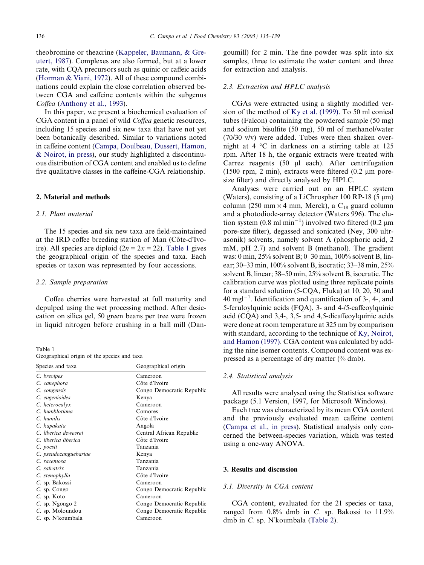theobromine or theacrine [\(Kappeler, Baumann, & Gre](#page-4-0)[utert, 1987\)](#page-4-0). Complexes are also formed, but at a lower rate, with CQA precursors such as quinic or caffeic acids ([Horman & Viani, 1972\)](#page-4-0). All of these compound combinations could explain the close correlation observed between CGA and caffeine contents within the subgenus Coffea [\(Anthony et al., 1993](#page-4-0)).

In this paper, we present a biochemical evaluation of CGA content in a panel of wild Coffea genetic resources, including 15 species and six new taxa that have not yet been botanically described. Similar to variations noted in caffeine content [\(Campa, Doulbeau, Dussert, Hamon,](#page-4-0) [& Noirot, in press](#page-4-0)), our study highlighted a discontinuous distribution of CGA content and enabled us to define five qualitative classes in the caffeine-CGA relationship.

#### 2. Material and methods

#### 2.1. Plant material

The 15 species and six new taxa are field-maintained at the IRD coffee breeding station of Man (Côte-d'Ivoire). All species are diploid ( $2n = 2x = 22$ ). Table 1 gives the geographical origin of the species and taxa. Each species or taxon was represented by four accessions.

#### 2.2. Sample preparation

Coffee cherries were harvested at full maturity and depulped using the wet processing method. After desiccation on silica gel, 50 green beans per tree were frozen in liquid nitrogen before crushing in a ball mill (Dan-

Table 1 Geographical origin of the species and taxa

| Species and taxa      | Geographical origin       |
|-----------------------|---------------------------|
| C. brevipes           | Cameroon                  |
| C. canephora          | Côte d'Ivoire             |
| C. congensis          | Congo Democratic Republic |
| C. eugenioides        | Kenya                     |
| C. heterocalyx        | Cameroon                  |
| C. humblotiana        | Comores                   |
| C. humilis            | Côte d'Ivoire             |
| C. kapakata           | Angola                    |
| C. liberica dewevrei  | Central African Republic  |
| C. liberica liberica  | Côte d'Ivoire             |
| C. pocsii             | Tanzania                  |
| C. pseudozanguebariae | Kenya                     |
| C. racemosa           | Tanzania                  |
| C. salvatrix          | Tanzania                  |
| C. stenophylla        | Côte d'Ivoire             |
| C. sp. Bakossi        | Cameroon                  |
| C. sp. Congo          | Congo Democratic Republic |
| C. sp. Koto           | Cameroon                  |
| C. sp. Ngongo 2       | Congo Democratic Republic |
| C. sp. Moloundou      | Congo Democratic Republic |
| C. sp. N'koumbala     | Cameroon                  |

goumill) for 2 min. The fine powder was split into six samples, three to estimate the water content and three for extraction and analysis.

### 2.3. Extraction and HPLC analysis

CGAs were extracted using a slightly modified version of the method of [Ky et al. \(1999\)](#page-4-0). To 50 ml conical tubes (Falcon) containing the powdered sample (50 mg) and sodium bisulfite (50 mg), 50 ml of methanol/water (70/30 v/v) were added. Tubes were then shaken overnight at 4  $\degree$ C in darkness on a stirring table at 125 rpm. After 18 h, the organic extracts were treated with Carrez reagents  $(50 \text{ µl}$  each). After centrifugation (1500 rpm, 2 min), extracts were filtered (0.2  $\mu$ m poresize filter) and directly analysed by HPLC.

Analyses were carried out on an HPLC system (Waters), consisting of a LiChrospher 100 RP-18 (5  $\mu$ m) column (250 mm  $\times$  4 mm, Merck), a C<sub>18</sub> guard column and a photodiode-array detector (Waters 996). The elution system  $(0.8 \text{ ml min}^{-1})$  involved two filtered  $(0.2 \text{ µm})$ pore-size filter), degassed and sonicated (Ney, 300 ultrasonik) solvents, namely solvent A (phosphoric acid, 2 mM, pH 2.7) and solvent B (methanol). The gradient was: 0 min, 25% solvent B; 0–30 min, 100% solvent B, linear; 30–33 min, 100% solvent B, isocratic; 33–38 min, 25% solvent B, linear; 38–50 min, 25% solvent B, isocratic. The calibration curve was plotted using three replicate points for a standard solution (5-CQA, Fluka) at 10, 20, 30 and  $40 \text{ mgl}^{-1}$ . Identification and quantification of 3-, 4-, and 5-feruloylquinic acids (FQA), 3- and 4-/5-caffeoylquinic acid (CQA) and 3,4-, 3,5- and 4,5-dicaffeoylquinic acids were done at room temperature at 325 nm by comparison with standard, according to the technique of [Ky, Noirot,](#page-4-0) [and Hamon \(1997\)](#page-4-0). CGA content was calculated by adding the nine isomer contents. Compound content was expressed as a percentage of dry matter (% dmb).

#### 2.4. Statistical analysis

All results were analysed using the Statistica software package (5.1 Version, 1997, for Microsoft Windows).

Each tree was characterized by its mean CGA content and the previously evaluated mean caffeine content ([Campa et al., in press](#page-4-0)). Statistical analysis only concerned the between-species variation, which was tested using a one-way ANOVA.

#### 3. Results and discussion

# 3.1. Diversity in CGA content

CGA content, evaluated for the 21 species or taxa, ranged from 0.8% dmb in C. sp. Bakossi to 11.9% dmb in  $C$ . sp. N'koumbala [\(Table 2\)](#page-2-0).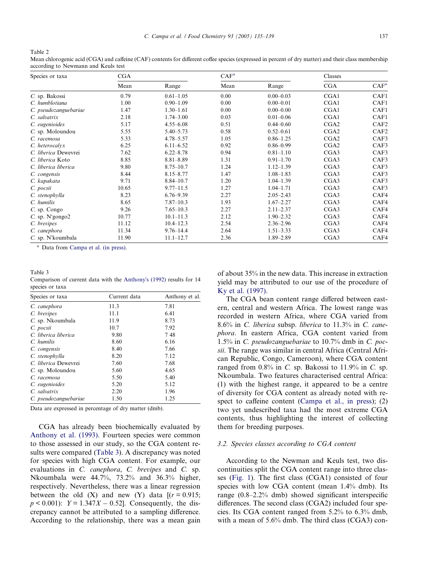<span id="page-2-0"></span>Table 2

Mean chlorogenic acid (CGA) and caffeine (CAF) contents for different coffee species (expressed in percent of dry matter) and their class membership according to Newmann and Keuls test

| Species or taxa       | CGA   |               | CAF <sup>a</sup> |               | Classes |                  |
|-----------------------|-------|---------------|------------------|---------------|---------|------------------|
|                       | Mean  | Range         | Mean             | Range         | CGA     | CAF <sup>a</sup> |
| C. sp. Bakossi        | 0.79  | $0.61 - 1.05$ | 0.00             | $0.00 - 0.03$ | CGA1    | CAF1             |
| C. humblotiana        | 1.00  | $0.90 - 1.09$ | 0.00             | $0.00 - 0.01$ | CGA1    | CAF1             |
| C. pseudozanguebariae | 1.47  | $1.30 - 1.61$ | 0.00             | $0.00 - 0.00$ | CGA1    | CAF1             |
| C. salvatrix          | 2.18  | $1.74 - 3.00$ | 0.03             | $0.01 - 0.06$ | CGA1    | CAF1             |
| C. eugenioides        | 5.17  | $4.55 - 6.08$ | 0.51             | $0.44 - 0.60$ | CGA2    | CAF <sub>2</sub> |
| C. sp. Moloundou      | 5.55  | $5.40 - 5.73$ | 0.58             | $0.52 - 0.61$ | CGA2    | CAF <sub>2</sub> |
| C. racemosa           | 5.33  | $4.78 - 5.57$ | 1.05             | $0.86 - 1.25$ | CGA2    | CAF3             |
| C. heterocalyx        | 6.25  | $6.11 - 6.52$ | 0.92             | $0.86 - 0.99$ | CGA2    | CAF3             |
| C. liberica Dewevrei  | 7.62  | $6.22 - 8.78$ | 0.94             | $0.81 - 1.10$ | CGA3    | CAF3             |
| C. liberica Koto      | 8.85  | $8.81 - 8.89$ | 1.31             | $0.91 - 1.70$ | CGA3    | CAF3             |
| C. liberica liberica  | 9.80  | $8.75 - 10.7$ | 1.24             | $1.12 - 1.39$ | CGA3    | CAF3             |
| C. congensis          | 8.44  | $8.15 - 8.77$ | 1.47             | $1.08 - 1.83$ | CGA3    | CAF3             |
| C. kapakata           | 9.71  | $8.84 - 10.7$ | 1.20             | $1.04 - 1.39$ | CGA3    | CAF3             |
| C. pocsii             | 10.65 | $9.77 - 11.5$ | 1.27             | $1.04 - 1.71$ | CGA3    | CAF3             |
| C. stenophylla        | 8.23  | $6.76 - 9.39$ | 2.27             | $2.05 - 2.43$ | CGA3    | CAF4             |
| C. humilis            | 8.65  | $7.87 - 10.3$ | 1.93             | $1.67 - 2.27$ | CGA3    | CAF4             |
| C. sp. Congo          | 9.26  | $7.65 - 10.3$ | 2.27             | $2.11 - 2.37$ | CGA3    | CAF4             |
| $C.$ sp. N'gongo $2$  | 10.77 | $10.1 - 11.3$ | 2.12             | $1.90 - 2.32$ | CGA3    | CAF4             |
| C. brevipes           | 11.12 | $10.4 - 12.3$ | 2.54             | $2.36 - 2.96$ | CGA3    | CAF4             |
| C. canephora          | 11.34 | $9.76 - 14.4$ | 2.64             | $1.51 - 3.33$ | CGA3    | CAF4             |
| C. sp. N'koumbala     | 11.90 | $11.1 - 12.7$ | 2.36             | 1.89-2.89     | CGA3    | CAF4             |

<sup>a</sup> Data from [Campa et al. \(in press\)](#page-4-0).

#### Table 3

Comparison of current data with the [Anthony](#page-4-0)s (1992) results for 14 species or taxa

| Species or taxa       | Current data | Anthony et al. |  |
|-----------------------|--------------|----------------|--|
| C. canephora          | 11.3         | 7.81           |  |
| C. brevipes           | 11.1         | 6.41           |  |
| C. sp. Nkoumbala      | 11.9         | 8.73           |  |
| C. pocsii             | 10.7         | 7.92           |  |
| C. liberica liberica  | 9.80         | 748            |  |
| C. humilis            | 8.60         | 6.16           |  |
| C. congensis          | 8.40         | 7.66           |  |
| C. stenophylla        | 8.20         | 7.12           |  |
| C. liberica Dewevrei  | 7.60         | 7.68           |  |
| C. sp. Moloundou      | 5.60         | 4.65           |  |
| C. racemosa           | 5.50         | 5.40           |  |
| C. eugenioides        | 5.20         | 5.12           |  |
| $C.$ salvatrix        | 2.20         | 1.96           |  |
| C. pseudozanguebariae | 1.50         | 1.25           |  |

Data are expressed in percentage of dry matter (dmb).

CGA has already been biochemically evaluated by [Anthony et al. \(1993\)](#page-4-0). Fourteen species were common to those assessed in our study, so the CGA content results were compared (Table 3). A discrepancy was noted for species with high CGA content. For example, our evaluations in C. canephora, C. brevipes and C. sp. Nkoumbala were 44.7%, 73.2% and 36.3% higher, respectively. Nevertheless, there was a linear regression between the old  $(X)$  and new  $(Y)$  data  $[(r = 0.915;$  $p < 0.001$ :  $Y = 1.347X - 0.52$ . Consequently, the discrepancy cannot be attributed to a sampling difference. According to the relationship, there was a mean gain

of about 35% in the new data. This increase in extraction yield may be attributed to our use of the procedure of [Ky et al. \(1997\)](#page-4-0).

The CGA bean content range differed between eastern, central and western Africa. The lowest range was recorded in western Africa, where CGA varied from 8.6% in C. liberica subsp. liberica to 11.3% in C. canephora. In eastern Africa, CGA content varied from 1.5% in C. pseudozanguebariae to 10.7% dmb in C. pocsii. The range was similar in central Africa (Central African Republic, Congo, Cameroon), where CGA content ranged from  $0.8\%$  in C. sp. Bakossi to  $11.9\%$  in C. sp. Nkoumbala. Two features characterised central Africa: (1) with the highest range, it appeared to be a centre of diversity for CGA content as already noted with respect to caffeine content ([Campa et al., in press](#page-4-0)); (2) two yet undescribed taxa had the most extreme CGA contents, thus highlighting the interest of collecting them for breeding purposes.

## 3.2. Species classes according to CGA content

According to the Newman and Keuls test, two discontinuities split the CGA content range into three classes ([Fig. 1](#page-3-0)). The first class (CGA1) consisted of four species with low CGA content (mean 1.4% dmb). Its range (0.8–2.2% dmb) showed significant interspecific differences. The second class (CGA2) included four species. Its CGA content ranged from 5.2% to 6.3% dmb, with a mean of 5.6% dmb. The third class (CGA3) con-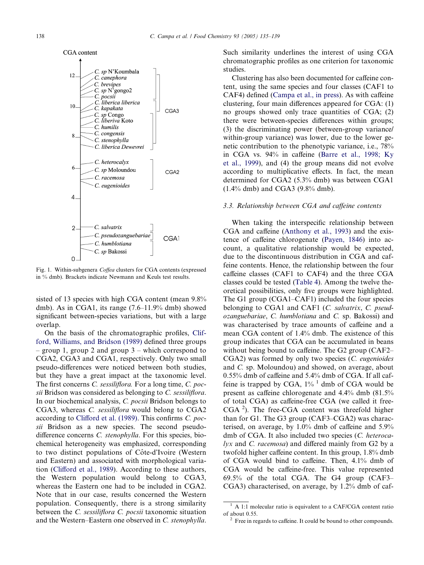<span id="page-3-0"></span>

Fig. 1. Within-subgenera Coffea clusters for CGA contents (expressed in % dmb). Brackets indicate Newmann and Keuls test results.

sisted of 13 species with high CGA content (mean 9.8% dmb). As in CGA1, its range (7.6–11.9% dmb) showed significant between-species variations, but with a large overlap.

On the basis of the chromatographic profiles, [Clif](#page-4-0)[ford, Williams, and Bridson \(1989\)](#page-4-0) defined three groups – group 1, group 2 and group 3 – which correspond to CGA2, CGA3 and CGA1, respectively. Only two small pseudo-differences were noticed between both studies, but they have a great impact at the taxonomic level. The first concerns C. sessiliflora. For a long time, C. pocsii Bridson was considered as belonging to C. sessiliflora. In our biochemical analysis, C. pocsii Bridson belongs to CGA3, whereas C. sessiliflora would belong to CGA2 according to [Clifford et al. \(1989\).](#page-4-0) This confirms C. pocsii Bridson as a new species. The second pseudodifference concerns C. stenophylla. For this species, biochemical heterogeneity was emphasized, corresponding to two distinct populations of Côte-d'Ivoire (Western and Eastern) and associated with morphological variation ([Clifford et al., 1989](#page-4-0)). According to these authors, the Western population would belong to CGA3, whereas the Eastern one had to be included in CGA2. Note that in our case, results concerned the Western population. Consequently, there is a strong similarity between the C. sessiliflora C. pocsii taxonomic situation and the Western–Eastern one observed in C. stenophylla. Such similarity underlines the interest of using CGA chromatographic profiles as one criterion for taxonomic studies.

Clustering has also been documented for caffeine content, using the same species and four classes (CAF1 to CAF4) defined [\(Campa et al., in press](#page-4-0)). As with caffeine clustering, four main differences appeared for CGA: (1) no groups showed only trace quantities of CGA; (2) there were between-species differences within groups; (3) the discriminating power (between-group variance/ within-group variance) was lower, due to the lower genetic contribution to the phenotypic variance, i.e., 78% in CGA vs. 94% in caffeine ([Barre et al., 1998; Ky](#page-4-0) [et al., 1999](#page-4-0)), and (4) the group means did not evolve according to multiplicative effects. In fact, the mean determined for CGA2 (5.3% dmb) was between CGA1 (1.4% dmb) and CGA3 (9.8% dmb).

#### 3.3. Relationship between CGA and caffeine contents

When taking the interspecific relationship between CGA and caffeine [\(Anthony et al., 1993\)](#page-4-0) and the existence of caffeine chlorogenate [\(Payen, 1846](#page-4-0)) into account, a qualitative relationship would be expected, due to the discontinuous distribution in CGA and caffeine contents. Hence, the relationship between the four caffeine classes (CAF1 to CAF4) and the three CGA classes could be tested ([Table 4\)](#page-4-0). Among the twelve theoretical possibilities, only five groups were highlighted. The G1 group (CGA1–CAF1) included the four species belonging to CGA1 and CAF1 (C. salvatrix, C. pseudozanguebariae, C. humblotiana and C. sp. Bakossi) and was characterised by trace amounts of caffeine and a mean CGA content of 1.4% dmb. The existence of this group indicates that CGA can be accumulated in beans without being bound to caffeine. The G2 group (CAF2– CGA2) was formed by only two species (C. eugenioides and C. sp. Moloundou) and showed, on average, about 0.55% dmb of caffeine and 5.4% dmb of CGA. If all caffeine is trapped by CGA,  $1\%$ <sup>1</sup> dmb of CGA would be present as caffeine chlorogenate and 4.4% dmb (81.5% of total CGA) as caffeine-free CGA (we called it free-CGA<sup>2</sup>). The free-CGA content was threefold higher than for G1. The G3 group (CAF3–CGA2) was characterised, on average, by 1.0% dmb of caffeine and 5.9% dmb of CGA. It also included two species (C. heterocalyx and C. racemosa) and differed mainly from G2 by a twofold higher caffeine content. In this group, 1.8% dmb of CGA would bind to caffeine. Then, 4.1% dmb of CGA would be caffeine-free. This value represented 69.5% of the total CGA. The G4 group (CAF3– CGA3) characterised, on average, by 1.2% dmb of caf-

 $<sup>1</sup>$  A 1:1 molecular ratio is equivalent to a CAF/CGA content ratio</sup> of about 0.55. <sup>2</sup> Free in regards to caffeine. It could be bound to other compounds.